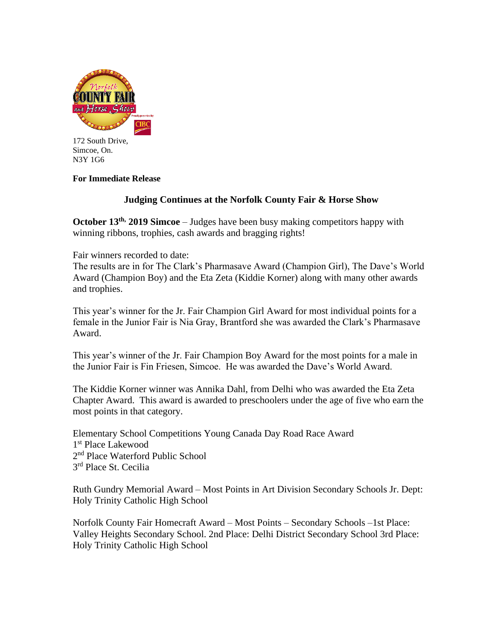

172 South Drive, Simcoe, On. N3Y 1G6

## **For Immediate Release**

# **Judging Continues at the Norfolk County Fair & Horse Show**

**October 13<sup>th,</sup>** 2019 Simcoe – Judges have been busy making competitors happy with winning ribbons, trophies, cash awards and bragging rights!

Fair winners recorded to date:

The results are in for The Clark's Pharmasave Award (Champion Girl), The Dave's World Award (Champion Boy) and the Eta Zeta (Kiddie Korner) along with many other awards and trophies.

This year's winner for the Jr. Fair Champion Girl Award for most individual points for a female in the Junior Fair is Nia Gray, Brantford she was awarded the Clark's Pharmasave Award.

This year's winner of the Jr. Fair Champion Boy Award for the most points for a male in the Junior Fair is Fin Friesen, Simcoe. He was awarded the Dave's World Award.

The Kiddie Korner winner was Annika Dahl, from Delhi who was awarded the Eta Zeta Chapter Award. This award is awarded to preschoolers under the age of five who earn the most points in that category.

Elementary School Competitions Young Canada Day Road Race Award 1 st Place Lakewood 2<sup>nd</sup> Place Waterford Public School 3 rd Place St. Cecilia

Ruth Gundry Memorial Award – Most Points in Art Division Secondary Schools Jr. Dept: Holy Trinity Catholic High School

Norfolk County Fair Homecraft Award – Most Points – Secondary Schools –1st Place: Valley Heights Secondary School. 2nd Place: Delhi District Secondary School 3rd Place: Holy Trinity Catholic High School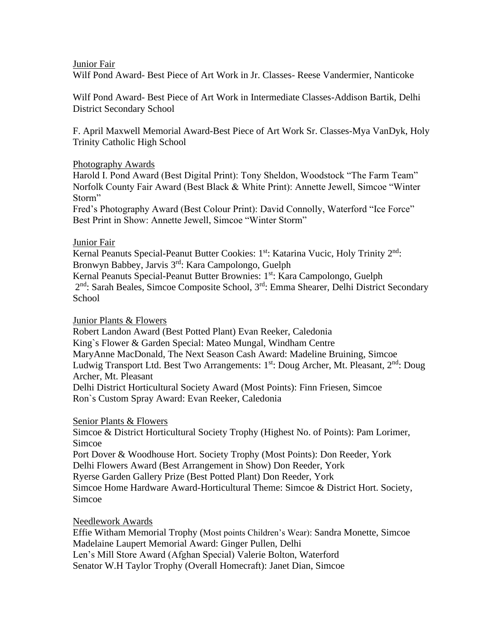### Junior Fair

Wilf Pond Award- Best Piece of Art Work in Jr. Classes- Reese Vandermier, Nanticoke

Wilf Pond Award- Best Piece of Art Work in Intermediate Classes-Addison Bartik, Delhi District Secondary School

F. April Maxwell Memorial Award-Best Piece of Art Work Sr. Classes-Mya VanDyk, Holy Trinity Catholic High School

### Photography Awards

Harold I. Pond Award (Best Digital Print): Tony Sheldon, Woodstock "The Farm Team" Norfolk County Fair Award (Best Black & White Print): Annette Jewell, Simcoe "Winter Storm"

Fred's Photography Award (Best Colour Print): David Connolly, Waterford "Ice Force" Best Print in Show: Annette Jewell, Simcoe "Winter Storm"

### Junior Fair

Kernal Peanuts Special-Peanut Butter Cookies: 1<sup>st</sup>: Katarina Vucic, Holy Trinity 2<sup>nd</sup>: Bronwyn Babbey, Jarvis 3rd: Kara Campolongo, Guelph Kernal Peanuts Special-Peanut Butter Brownies: 1 st: Kara Campolongo, Guelph 2<sup>nd</sup>: Sarah Beales, Simcoe Composite School, 3<sup>rd</sup>: Emma Shearer, Delhi District Secondary **School** 

#### Junior Plants & Flowers

Robert Landon Award (Best Potted Plant) Evan Reeker, Caledonia King`s Flower & Garden Special: Mateo Mungal, Windham Centre MaryAnne MacDonald, The Next Season Cash Award: Madeline Bruining, Simcoe Ludwig Transport Ltd. Best Two Arrangements: 1<sup>st</sup>: Doug Archer, Mt. Pleasant, 2<sup>nd</sup>: Doug Archer, Mt. Pleasant Delhi District Horticultural Society Award (Most Points): Finn Friesen, Simcoe Ron`s Custom Spray Award: Evan Reeker, Caledonia

#### Senior Plants & Flowers

Simcoe & District Horticultural Society Trophy (Highest No. of Points): Pam Lorimer, Simcoe Port Dover & Woodhouse Hort. Society Trophy (Most Points): Don Reeder, York

Delhi Flowers Award (Best Arrangement in Show) Don Reeder, York

Ryerse Garden Gallery Prize (Best Potted Plant) Don Reeder, York

Simcoe Home Hardware Award-Horticultural Theme: Simcoe & District Hort. Society, Simcoe

Needlework Awards

Effie Witham Memorial Trophy (Most points Children's Wear): Sandra Monette, Simcoe Madelaine Laupert Memorial Award: Ginger Pullen, Delhi Len's Mill Store Award (Afghan Special) Valerie Bolton, Waterford Senator W.H Taylor Trophy (Overall Homecraft): Janet Dian, Simcoe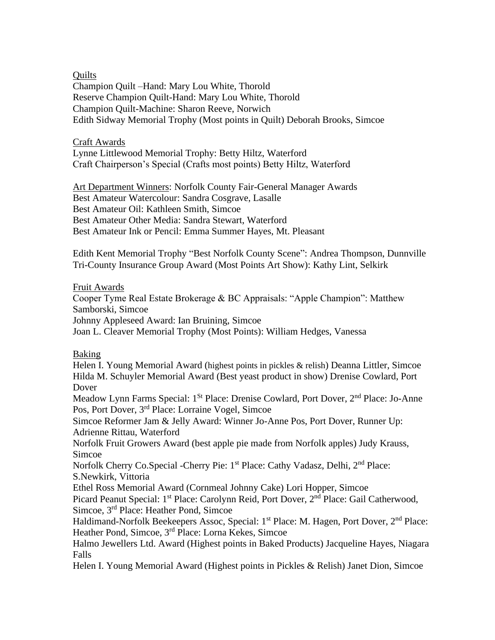**Quilts** 

Champion Quilt –Hand: Mary Lou White, Thorold Reserve Champion Quilt-Hand: Mary Lou White, Thorold Champion Quilt-Machine: Sharon Reeve, Norwich Edith Sidway Memorial Trophy (Most points in Quilt) Deborah Brooks, Simcoe

## Craft Awards

Lynne Littlewood Memorial Trophy: Betty Hiltz, Waterford Craft Chairperson's Special (Crafts most points) Betty Hiltz, Waterford

Art Department Winners: Norfolk County Fair-General Manager Awards Best Amateur Watercolour: Sandra Cosgrave, Lasalle Best Amateur Oil: Kathleen Smith, Simcoe Best Amateur Other Media: Sandra Stewart, Waterford Best Amateur Ink or Pencil: Emma Summer Hayes, Mt. Pleasant

Edith Kent Memorial Trophy "Best Norfolk County Scene": Andrea Thompson, Dunnville Tri-County Insurance Group Award (Most Points Art Show): Kathy Lint, Selkirk

## Fruit Awards

Cooper Tyme Real Estate Brokerage & BC Appraisals: "Apple Champion": Matthew Samborski, Simcoe

Johnny Appleseed Award: Ian Bruining, Simcoe

Joan L. Cleaver Memorial Trophy (Most Points): William Hedges, Vanessa

# Baking

Helen I. Young Memorial Award (highest points in pickles & relish) Deanna Littler, Simcoe Hilda M. Schuyler Memorial Award (Best yeast product in show) Drenise Cowlard, Port Dover

Meadow Lynn Farms Special: 1<sup>St</sup> Place: Drenise Cowlard, Port Dover, 2<sup>nd</sup> Place: Jo-Anne Pos, Port Dover, 3rd Place: Lorraine Vogel, Simcoe

Simcoe Reformer Jam & Jelly Award: Winner Jo-Anne Pos, Port Dover, Runner Up: Adrienne Rittau, Waterford

Norfolk Fruit Growers Award (best apple pie made from Norfolk apples) Judy Krauss, Simcoe

Norfolk Cherry Co.Special -Cherry Pie: 1<sup>st</sup> Place: Cathy Vadasz, Delhi, 2<sup>nd</sup> Place: S.Newkirk, Vittoria

Ethel Ross Memorial Award (Cornmeal Johnny Cake) Lori Hopper, Simcoe

Picard Peanut Special: 1<sup>st</sup> Place: Carolynn Reid, Port Dover, 2<sup>nd</sup> Place: Gail Catherwood, Simcoe, 3rd Place: Heather Pond, Simcoe

Haldimand-Norfolk Beekeepers Assoc, Special: 1<sup>st</sup> Place: M. Hagen, Port Dover, 2<sup>nd</sup> Place: Heather Pond, Simcoe, 3rd Place: Lorna Kekes, Simcoe

Halmo Jewellers Ltd. Award (Highest points in Baked Products) Jacqueline Hayes, Niagara Falls

Helen I. Young Memorial Award (Highest points in Pickles & Relish) Janet Dion, Simcoe